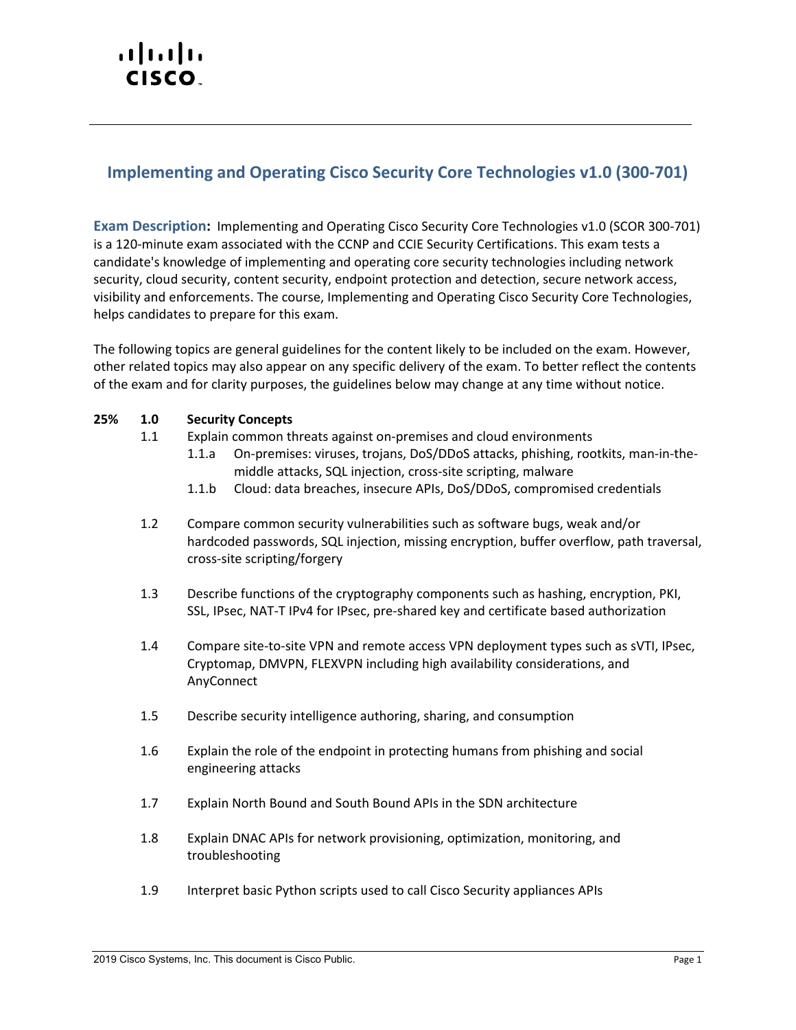# altalti CISCO.

## **Implementing and Operating Cisco Security Core Technologies v1.0 (300-701)**

**Exam Description:** Implementing and Operating Cisco Security Core Technologies v1.0 (SCOR 300-701) is a 120-minute exam associated with the CCNP and CCIE Security Certifications. This exam tests a candidate's knowledge of implementing and operating core security technologies including network security, cloud security, content security, endpoint protection and detection, secure network access, visibility and enforcements. The course, Implementing and Operating Cisco Security Core Technologies, helps candidates to prepare for this exam.

The following topics are general guidelines for the content likely to be included on the exam. However, other related topics may also appear on any specific delivery of the exam. To better reflect the contents of the exam and for clarity purposes, the guidelines below may change at any time without notice.

#### **25% 1.0 Security Concepts**

- 1.1 Explain common threats against on-premises and cloud environments
	- 1.1.a On-premises: viruses, trojans, DoS/DDoS attacks, phishing, rootkits, man-in-themiddle attacks, SQL injection, cross-site scripting, malware
	- 1.1.b Cloud: data breaches, insecure APIs, DoS/DDoS, compromised credentials
- 1.2 Compare common security vulnerabilities such as software bugs, weak and/or hardcoded passwords, SQL injection, missing encryption, buffer overflow, path traversal, cross-site scripting/forgery
- 1.3 Describe functions of the cryptography components such as hashing, encryption, PKI, SSL, IPsec, NAT-T IPv4 for IPsec, pre-shared key and certificate based authorization
- 1.4 Compare site-to-site VPN and remote access VPN deployment types such as sVTI, IPsec, Cryptomap, DMVPN, FLEXVPN including high availability considerations, and AnyConnect
- 1.5 Describe security intelligence authoring, sharing, and consumption
- 1.6 Explain the role of the endpoint in protecting humans from phishing and social engineering attacks
- 1.7 Explain North Bound and South Bound APIs in the SDN architecture
- 1.8 Explain DNAC APIs for network provisioning, optimization, monitoring, and troubleshooting
- 1.9 Interpret basic Python scripts used to call Cisco Security appliances APIs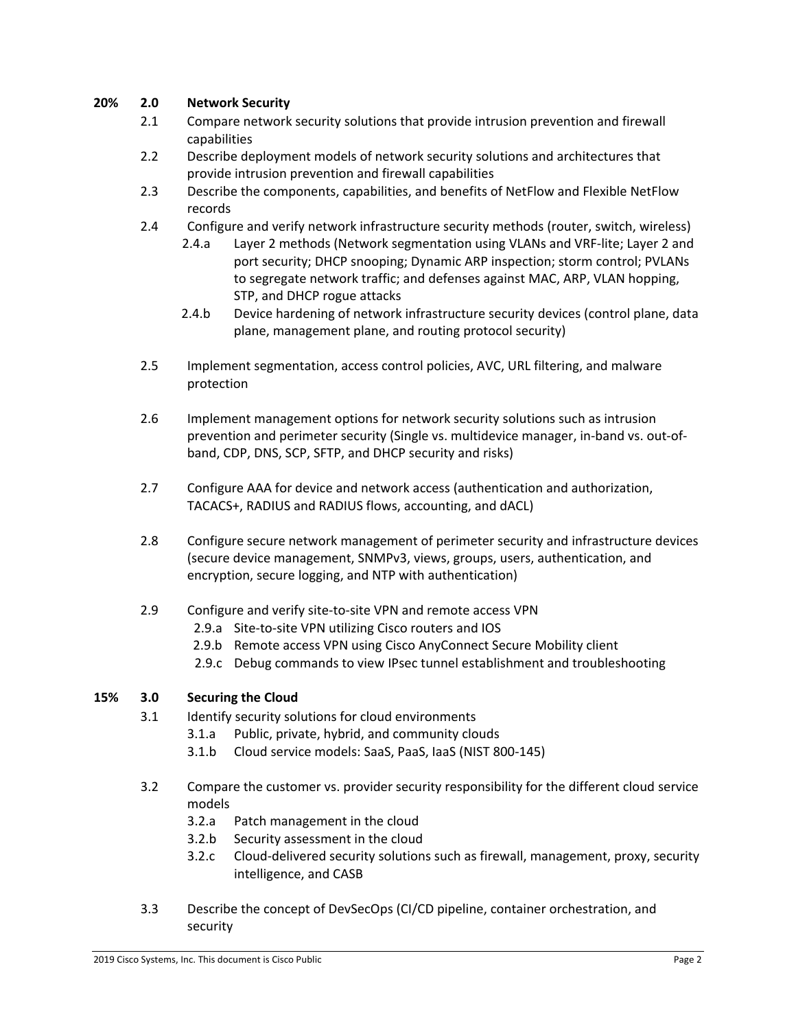#### **20% 2.0 Network Security**

- 2.1 Compare network security solutions that provide intrusion prevention and firewall capabilities
- 2.2 Describe deployment models of network security solutions and architectures that provide intrusion prevention and firewall capabilities
- 2.3 Describe the components, capabilities, and benefits of NetFlow and Flexible NetFlow records
- 2.4 Configure and verify network infrastructure security methods (router, switch, wireless)
	- 2.4.a Layer 2 methods (Network segmentation using VLANs and VRF-lite; Layer 2 and port security; DHCP snooping; Dynamic ARP inspection; storm control; PVLANs to segregate network traffic; and defenses against MAC, ARP, VLAN hopping, STP, and DHCP rogue attacks
	- 2.4.b Device hardening of network infrastructure security devices (control plane, data plane, management plane, and routing protocol security)
- 2.5 Implement segmentation, access control policies, AVC, URL filtering, and malware protection
- 2.6 Implement management options for network security solutions such as intrusion prevention and perimeter security (Single vs. multidevice manager, in-band vs. out-ofband, CDP, DNS, SCP, SFTP, and DHCP security and risks)
- 2.7 Configure AAA for device and network access (authentication and authorization, TACACS+, RADIUS and RADIUS flows, accounting, and dACL)
- 2.8 Configure secure network management of perimeter security and infrastructure devices (secure device management, SNMPv3, views, groups, users, authentication, and encryption, secure logging, and NTP with authentication)
- 2.9 Configure and verify site-to-site VPN and remote access VPN
	- 2.9.a Site-to-site VPN utilizing Cisco routers and IOS
	- 2.9.b Remote access VPN using Cisco AnyConnect Secure Mobility client
	- 2.9.c Debug commands to view IPsec tunnel establishment and troubleshooting

#### **15% 3.0 Securing the Cloud**

- 3.1 Identify security solutions for cloud environments
	- 3.1.a Public, private, hybrid, and community clouds
	- 3.1.b Cloud service models: SaaS, PaaS, IaaS (NIST 800-145)
- 3.2 Compare the customer vs. provider security responsibility for the different cloud service models
	- 3.2.a Patch management in the cloud
	- 3.2.b Security assessment in the cloud
	- 3.2.c Cloud-delivered security solutions such as firewall, management, proxy, security intelligence, and CASB
- 3.3 Describe the concept of DevSecOps (CI/CD pipeline, container orchestration, and security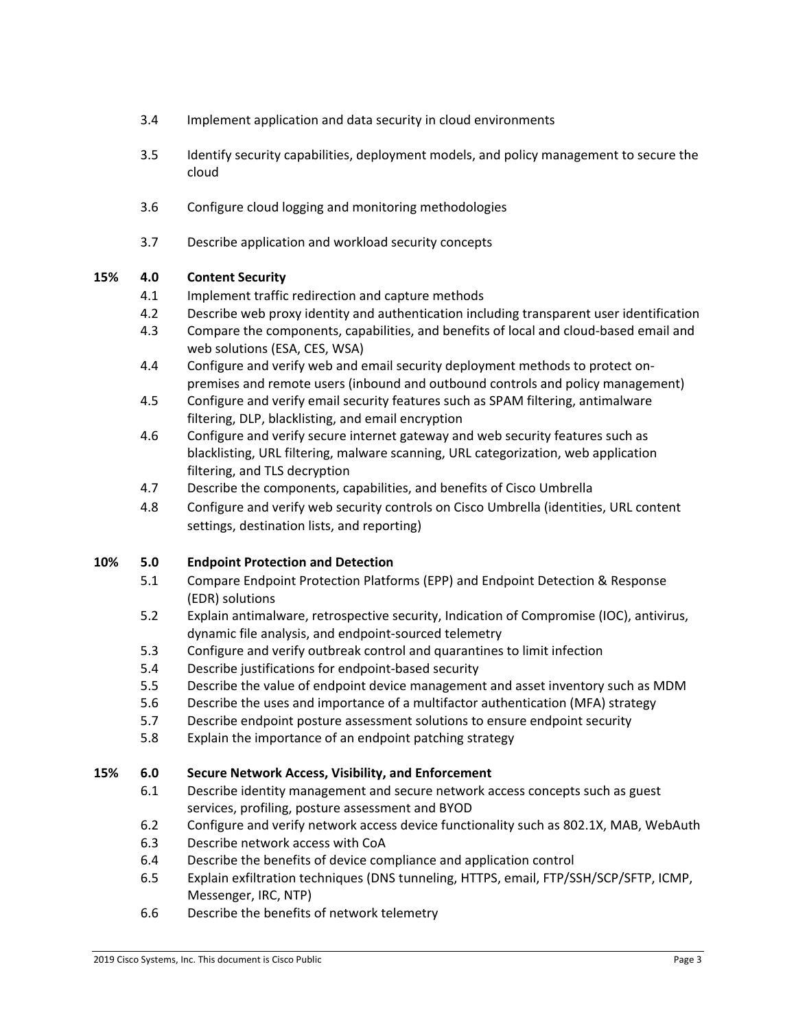- 3.4 Implement application and data security in cloud environments
- 3.5 Identify security capabilities, deployment models, and policy management to secure the cloud
- 3.6 Configure cloud logging and monitoring methodologies
- 3.7 Describe application and workload security concepts

### **15% 4.0 Content Security**

- 4.1 Implement traffic redirection and capture methods
- 4.2 Describe web proxy identity and authentication including transparent user identification
- 4.3 Compare the components, capabilities, and benefits of local and cloud-based email and web solutions (ESA, CES, WSA)
- 4.4 Configure and verify web and email security deployment methods to protect onpremises and remote users (inbound and outbound controls and policy management)
- 4.5 Configure and verify email security features such as SPAM filtering, antimalware filtering, DLP, blacklisting, and email encryption
- 4.6 Configure and verify secure internet gateway and web security features such as blacklisting, URL filtering, malware scanning, URL categorization, web application filtering, and TLS decryption
- 4.7 Describe the components, capabilities, and benefits of Cisco Umbrella
- 4.8 Configure and verify web security controls on Cisco Umbrella (identities, URL content settings, destination lists, and reporting)

#### **10% 5.0 Endpoint Protection and Detection**

- 5.1 Compare Endpoint Protection Platforms (EPP) and Endpoint Detection & Response (EDR) solutions
- 5.2 Explain antimalware, retrospective security, Indication of Compromise (IOC), antivirus, dynamic file analysis, and endpoint-sourced telemetry
- 5.3 Configure and verify outbreak control and quarantines to limit infection
- 5.4 Describe justifications for endpoint-based security
- 5.5 Describe the value of endpoint device management and asset inventory such as MDM
- 5.6 Describe the uses and importance of a multifactor authentication (MFA) strategy
- 5.7 Describe endpoint posture assessment solutions to ensure endpoint security
- 5.8 Explain the importance of an endpoint patching strategy

#### **15% 6.0 Secure Network Access, Visibility, and Enforcement**

- 6.1 Describe identity management and secure network access concepts such as guest services, profiling, posture assessment and BYOD
- 6.2 Configure and verify network access device functionality such as 802.1X, MAB, WebAuth
- 6.3 Describe network access with CoA
- 6.4 Describe the benefits of device compliance and application control
- 6.5 Explain exfiltration techniques (DNS tunneling, HTTPS, email, FTP/SSH/SCP/SFTP, ICMP, Messenger, IRC, NTP)
- 6.6 Describe the benefits of network telemetry